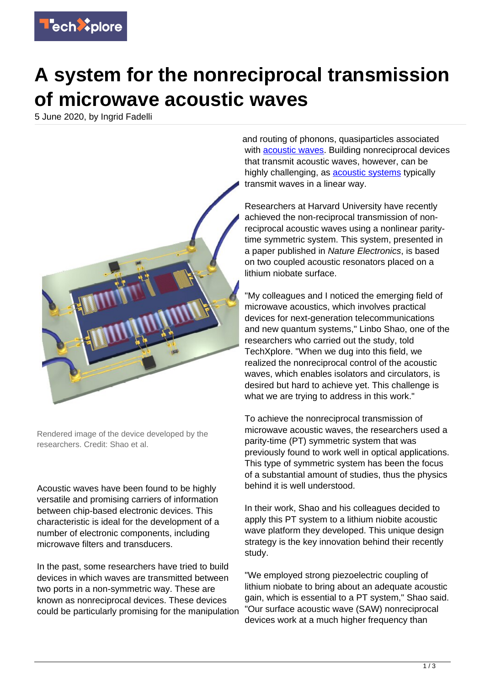

## **A system for the nonreciprocal transmission of microwave acoustic waves**

5 June 2020, by Ingrid Fadelli



Rendered image of the device developed by the researchers. Credit: Shao et al.

Acoustic waves have been found to be highly versatile and promising carriers of information between chip-based electronic devices. This characteristic is ideal for the development of a number of electronic components, including microwave filters and transducers.

In the past, some researchers have tried to build devices in which waves are transmitted between two ports in a non-symmetric way. These are known as nonreciprocal devices. These devices could be particularly promising for the manipulation

and routing of phonons, quasiparticles associated with [acoustic waves.](https://techxplore.com/tags/acoustic+waves/) Building nonreciprocal devices that transmit acoustic waves, however, can be highly challenging, as **[acoustic systems](https://techxplore.com/tags/acoustic+systems/)** typically transmit waves in a linear way.

Researchers at Harvard University have recently achieved the non-reciprocal transmission of nonreciprocal acoustic waves using a nonlinear paritytime symmetric system. This system, presented in a paper published in Nature Electronics, is based on two coupled acoustic resonators placed on a lithium niobate surface.

"My colleagues and I noticed the emerging field of microwave acoustics, which involves practical devices for next-generation telecommunications and new quantum systems," Linbo Shao, one of the researchers who carried out the study, told TechXplore. "When we dug into this field, we realized the nonreciprocal control of the acoustic waves, which enables isolators and circulators, is desired but hard to achieve yet. This challenge is what we are trying to address in this work."

To achieve the nonreciprocal transmission of microwave acoustic waves, the researchers used a parity-time (PT) symmetric system that was previously found to work well in optical applications. This type of symmetric system has been the focus of a substantial amount of studies, thus the physics behind it is well understood.

In their work, Shao and his colleagues decided to apply this PT system to a lithium niobite acoustic wave platform they developed. This unique design strategy is the key innovation behind their recently study.

"We employed strong piezoelectric coupling of lithium niobate to bring about an adequate acoustic gain, which is essential to a PT system," Shao said. "Our surface acoustic wave (SAW) nonreciprocal devices work at a much higher frequency than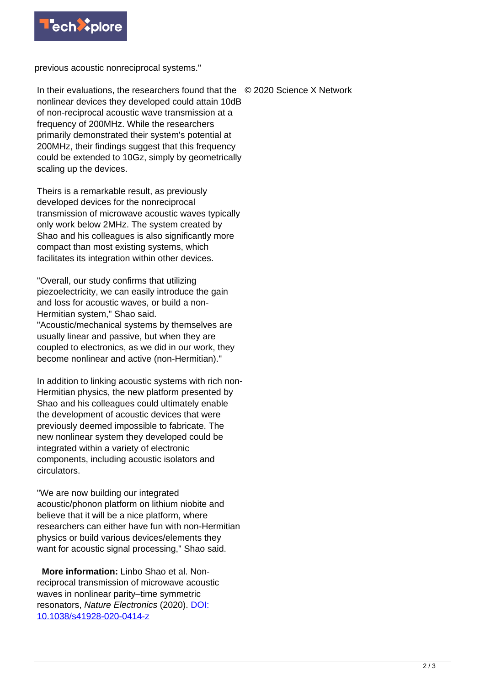

previous acoustic nonreciprocal systems."

In their evaluations, the researchers found that the © 2020 Science X Network nonlinear devices they developed could attain 10dB of non-reciprocal acoustic wave transmission at a frequency of 200MHz. While the researchers primarily demonstrated their system's potential at 200MHz, their findings suggest that this frequency could be extended to 10Gz, simply by geometrically scaling up the devices.

Theirs is a remarkable result, as previously developed devices for the nonreciprocal transmission of microwave acoustic waves typically only work below 2MHz. The system created by Shao and his colleagues is also significantly more compact than most existing systems, which facilitates its integration within other devices.

"Overall, our study confirms that utilizing piezoelectricity, we can easily introduce the gain and loss for acoustic waves, or build a non-Hermitian system," Shao said.

"Acoustic/mechanical systems by themselves are usually linear and passive, but when they are coupled to electronics, as we did in our work, they become nonlinear and active (non-Hermitian)."

In addition to linking acoustic systems with rich non-Hermitian physics, the new platform presented by Shao and his colleagues could ultimately enable the development of acoustic devices that were previously deemed impossible to fabricate. The new nonlinear system they developed could be integrated within a variety of electronic components, including acoustic isolators and circulators.

"We are now building our integrated acoustic/phonon platform on lithium niobite and believe that it will be a nice platform, where researchers can either have fun with non-Hermitian physics or build various devices/elements they want for acoustic signal processing," Shao said.

 **More information:** Linbo Shao et al. Nonreciprocal transmission of microwave acoustic waves in nonlinear parity–time symmetric resonators, Nature Electronics (2020). [DOI:](http://dx.doi.org/10.1038/s41928-020-0414-z) [10.1038/s41928-020-0414-z](http://dx.doi.org/10.1038/s41928-020-0414-z)